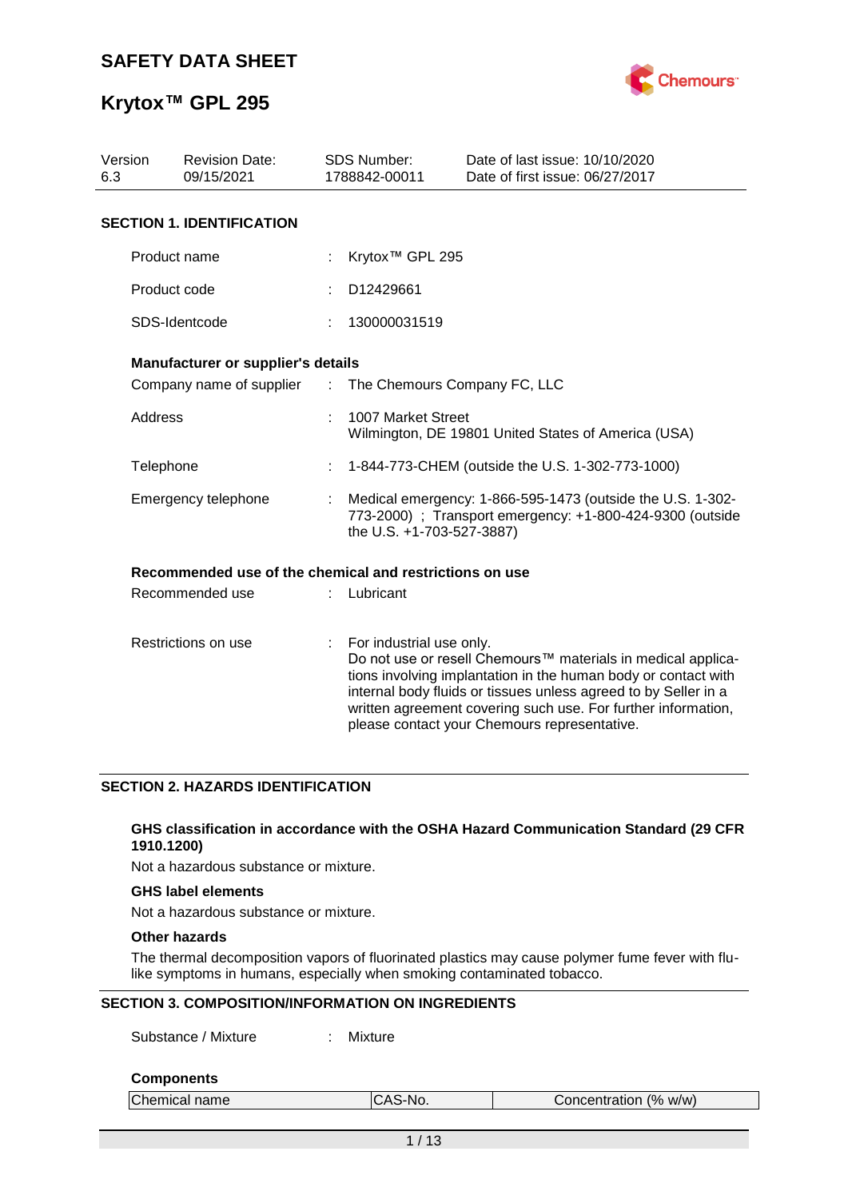

# **Krytox™ GPL 295**

| Version<br><b>Revision Date:</b><br>09/15/2021<br>6.3 |                                                         |                           | SDS Number:<br>1788842-00011                                                                                                                         | Date of last issue: 10/10/2020<br>Date of first issue: 06/27/2017                                                                                                                                                                                                                                                  |  |  |
|-------------------------------------------------------|---------------------------------------------------------|---------------------------|------------------------------------------------------------------------------------------------------------------------------------------------------|--------------------------------------------------------------------------------------------------------------------------------------------------------------------------------------------------------------------------------------------------------------------------------------------------------------------|--|--|
|                                                       | <b>SECTION 1. IDENTIFICATION</b>                        |                           |                                                                                                                                                      |                                                                                                                                                                                                                                                                                                                    |  |  |
|                                                       | Product name                                            |                           | Krytox <sup>™</sup> GPL 295                                                                                                                          |                                                                                                                                                                                                                                                                                                                    |  |  |
|                                                       | Product code                                            |                           | D12429661                                                                                                                                            |                                                                                                                                                                                                                                                                                                                    |  |  |
|                                                       | SDS-Identcode                                           |                           | 130000031519                                                                                                                                         |                                                                                                                                                                                                                                                                                                                    |  |  |
|                                                       | Manufacturer or supplier's details                      |                           |                                                                                                                                                      |                                                                                                                                                                                                                                                                                                                    |  |  |
|                                                       |                                                         |                           | Company name of supplier : The Chemours Company FC, LLC                                                                                              |                                                                                                                                                                                                                                                                                                                    |  |  |
|                                                       | <b>Address</b>                                          |                           | 1007 Market Street                                                                                                                                   | Wilmington, DE 19801 United States of America (USA)                                                                                                                                                                                                                                                                |  |  |
| Telephone                                             |                                                         |                           |                                                                                                                                                      | 1-844-773-CHEM (outside the U.S. 1-302-773-1000)                                                                                                                                                                                                                                                                   |  |  |
|                                                       | Emergency telephone                                     |                           | Medical emergency: 1-866-595-1473 (outside the U.S. 1-302-<br>773-2000) ; Transport emergency: +1-800-424-9300 (outside<br>the U.S. +1-703-527-3887) |                                                                                                                                                                                                                                                                                                                    |  |  |
|                                                       | Recommended use of the chemical and restrictions on use |                           |                                                                                                                                                      |                                                                                                                                                                                                                                                                                                                    |  |  |
|                                                       | Recommended use                                         |                           | Lubricant                                                                                                                                            |                                                                                                                                                                                                                                                                                                                    |  |  |
|                                                       | Restrictions on use                                     | $\mathbb{R}^{\mathbb{Z}}$ | For industrial use only.                                                                                                                             | Do not use or resell Chemours™ materials in medical applica-<br>tions involving implantation in the human body or contact with<br>internal body fluids or tissues unless agreed to by Seller in a<br>written agreement covering such use. For further information,<br>please contact your Chemours representative. |  |  |

## **SECTION 2. HAZARDS IDENTIFICATION**

#### **GHS classification in accordance with the OSHA Hazard Communication Standard (29 CFR 1910.1200)**

Not a hazardous substance or mixture.

### **GHS label elements**

Not a hazardous substance or mixture.

## **Other hazards**

The thermal decomposition vapors of fluorinated plastics may cause polymer fume fever with flulike symptoms in humans, especially when smoking contaminated tobacco.

### **SECTION 3. COMPOSITION/INFORMATION ON INGREDIENTS**

Substance / Mixture : Mixture

## **Components**

| Chemical name | AS-No.<br>. טרי | Concentration (% w/w) |  |
|---------------|-----------------|-----------------------|--|
|               |                 |                       |  |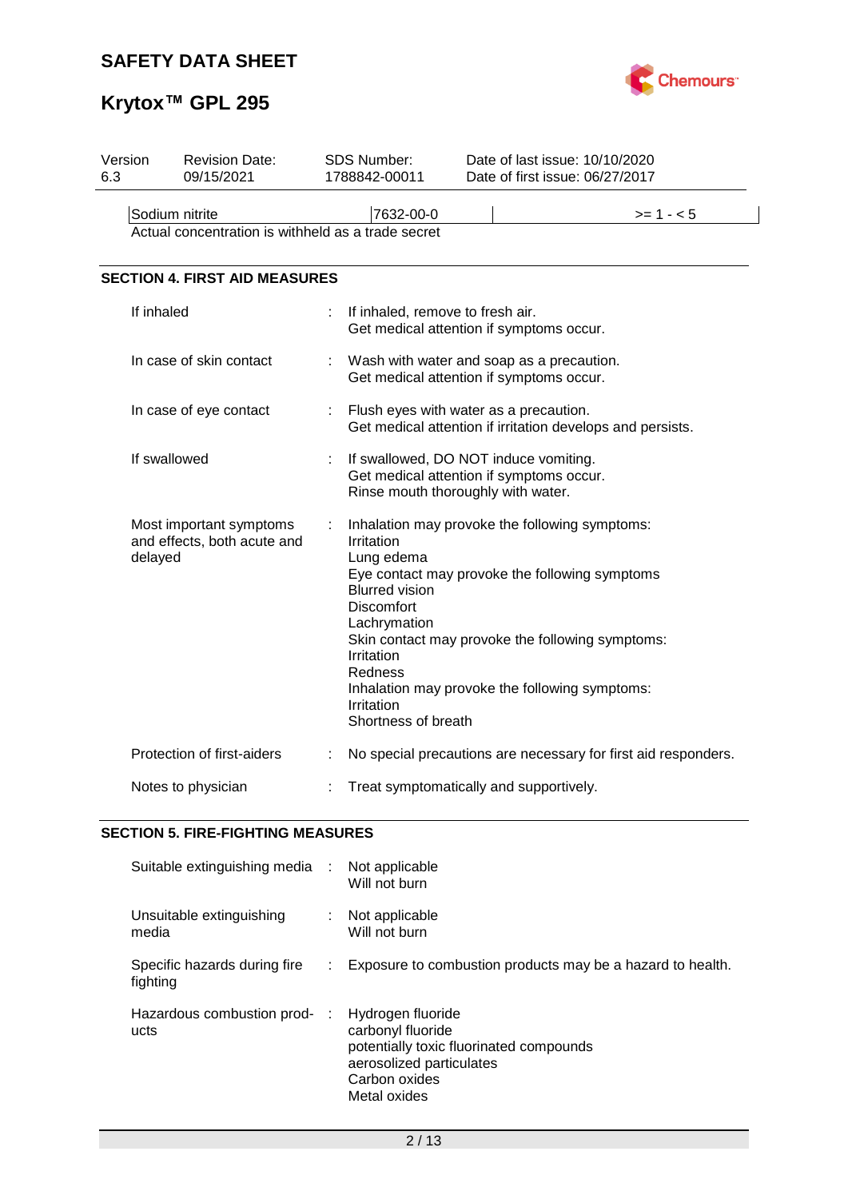

# **Krytox™ GPL 295**

| Version<br>6.3 |                | <b>Revision Date:</b><br>09/15/2021                    |   | SDS Number:<br>1788842-00011                                                                                                                  | Date of last issue: 10/10/2020<br>Date of first issue: 06/27/2017                                                                                                                                      |
|----------------|----------------|--------------------------------------------------------|---|-----------------------------------------------------------------------------------------------------------------------------------------------|--------------------------------------------------------------------------------------------------------------------------------------------------------------------------------------------------------|
|                | Sodium nitrite | Actual concentration is withheld as a trade secret     |   | 7632-00-0                                                                                                                                     | $>= 1 - 5$                                                                                                                                                                                             |
|                |                | <b>SECTION 4. FIRST AID MEASURES</b>                   |   |                                                                                                                                               |                                                                                                                                                                                                        |
|                | If inhaled     |                                                        |   | If inhaled, remove to fresh air.<br>Get medical attention if symptoms occur.                                                                  |                                                                                                                                                                                                        |
|                |                | In case of skin contact                                | t | Get medical attention if symptoms occur.                                                                                                      | Wash with water and soap as a precaution.                                                                                                                                                              |
|                |                | In case of eye contact                                 | ÷ | Flush eyes with water as a precaution.                                                                                                        | Get medical attention if irritation develops and persists.                                                                                                                                             |
|                | If swallowed   |                                                        |   | If swallowed, DO NOT induce vomiting.<br>Get medical attention if symptoms occur.<br>Rinse mouth thoroughly with water.                       |                                                                                                                                                                                                        |
|                | delayed        | Most important symptoms<br>and effects, both acute and |   | Irritation<br>Lung edema<br><b>Blurred vision</b><br>Discomfort<br>Lachrymation<br>Irritation<br>Redness<br>Irritation<br>Shortness of breath | Inhalation may provoke the following symptoms:<br>Eye contact may provoke the following symptoms<br>Skin contact may provoke the following symptoms:<br>Inhalation may provoke the following symptoms: |
|                |                | Protection of first-aiders                             | ÷ |                                                                                                                                               | No special precautions are necessary for first aid responders.                                                                                                                                         |
|                |                | Notes to physician                                     |   | Treat symptomatically and supportively.                                                                                                       |                                                                                                                                                                                                        |

## **SECTION 5. FIRE-FIGHTING MEASURES**

| Suitable extinguishing media :           |    | Not applicable<br>Will not burn                                                                                                                |
|------------------------------------------|----|------------------------------------------------------------------------------------------------------------------------------------------------|
| Unsuitable extinguishing<br>media        |    | : Not applicable<br>Will not burn                                                                                                              |
| Specific hazards during fire<br>fighting | ÷. | Exposure to combustion products may be a hazard to health.                                                                                     |
| Hazardous combustion prod-<br>ucts       | ÷  | Hydrogen fluoride<br>carbonyl fluoride<br>potentially toxic fluorinated compounds<br>aerosolized particulates<br>Carbon oxides<br>Metal oxides |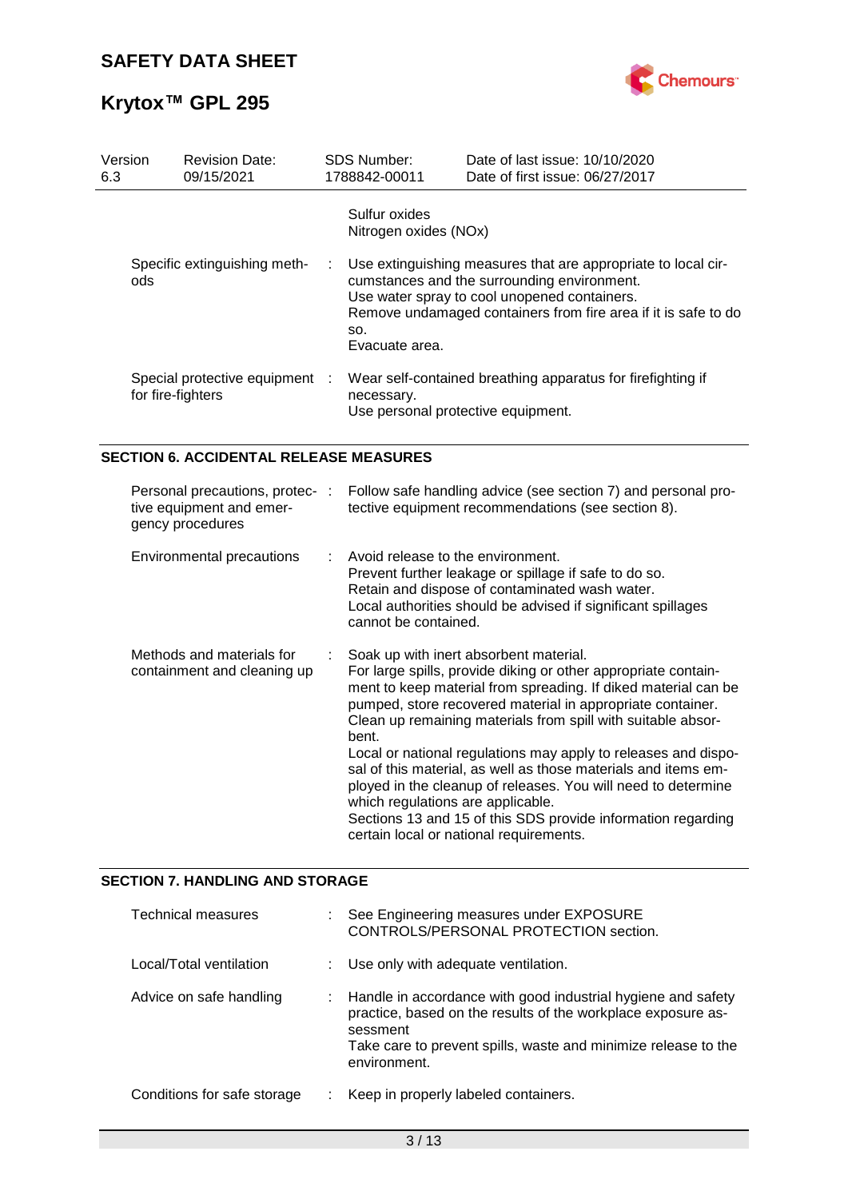# **Krytox™ GPL 295**



| Version<br>6.3 | <b>Revision Date:</b><br>09/15/2021                 |  | <b>SDS Number:</b><br>1788842-00011    | Date of last issue: 10/10/2020<br>Date of first issue: 06/27/2017                                                                                                                                                              |
|----------------|-----------------------------------------------------|--|----------------------------------------|--------------------------------------------------------------------------------------------------------------------------------------------------------------------------------------------------------------------------------|
|                |                                                     |  | Sulfur oxides<br>Nitrogen oxides (NOx) |                                                                                                                                                                                                                                |
| ods            | Specific extinguishing meth-                        |  | SO.<br>Evacuate area.                  | Use extinguishing measures that are appropriate to local cir-<br>cumstances and the surrounding environment.<br>Use water spray to cool unopened containers.<br>Remove undamaged containers from fire area if it is safe to do |
|                | Special protective equipment :<br>for fire-fighters |  | necessary.                             | Wear self-contained breathing apparatus for firefighting if<br>Use personal protective equipment.                                                                                                                              |

## **SECTION 6. ACCIDENTAL RELEASE MEASURES**

| Personal precautions, protec-:<br>tive equipment and emer-<br>gency procedures | Follow safe handling advice (see section 7) and personal pro-<br>tective equipment recommendations (see section 8).                                                                                                                                                                                                                                                                                                                                                                                                                                                                                                                                                    |
|--------------------------------------------------------------------------------|------------------------------------------------------------------------------------------------------------------------------------------------------------------------------------------------------------------------------------------------------------------------------------------------------------------------------------------------------------------------------------------------------------------------------------------------------------------------------------------------------------------------------------------------------------------------------------------------------------------------------------------------------------------------|
| Environmental precautions                                                      | $\therefore$ Avoid release to the environment.<br>Prevent further leakage or spillage if safe to do so.<br>Retain and dispose of contaminated wash water.<br>Local authorities should be advised if significant spillages<br>cannot be contained.                                                                                                                                                                                                                                                                                                                                                                                                                      |
| Methods and materials for<br>containment and cleaning up                       | Soak up with inert absorbent material.<br>For large spills, provide diking or other appropriate contain-<br>ment to keep material from spreading. If diked material can be<br>pumped, store recovered material in appropriate container.<br>Clean up remaining materials from spill with suitable absor-<br>bent.<br>Local or national regulations may apply to releases and dispo-<br>sal of this material, as well as those materials and items em-<br>ployed in the cleanup of releases. You will need to determine<br>which regulations are applicable.<br>Sections 13 and 15 of this SDS provide information regarding<br>certain local or national requirements. |

## **SECTION 7. HANDLING AND STORAGE**

| Technical measures          | See Engineering measures under EXPOSURE<br>CONTROLS/PERSONAL PROTECTION section.                                                                                                                                             |
|-----------------------------|------------------------------------------------------------------------------------------------------------------------------------------------------------------------------------------------------------------------------|
| Local/Total ventilation     | : Use only with adequate ventilation.                                                                                                                                                                                        |
| Advice on safe handling     | : Handle in accordance with good industrial hygiene and safety<br>practice, based on the results of the workplace exposure as-<br>sessment<br>Take care to prevent spills, waste and minimize release to the<br>environment. |
| Conditions for safe storage | Keep in properly labeled containers.                                                                                                                                                                                         |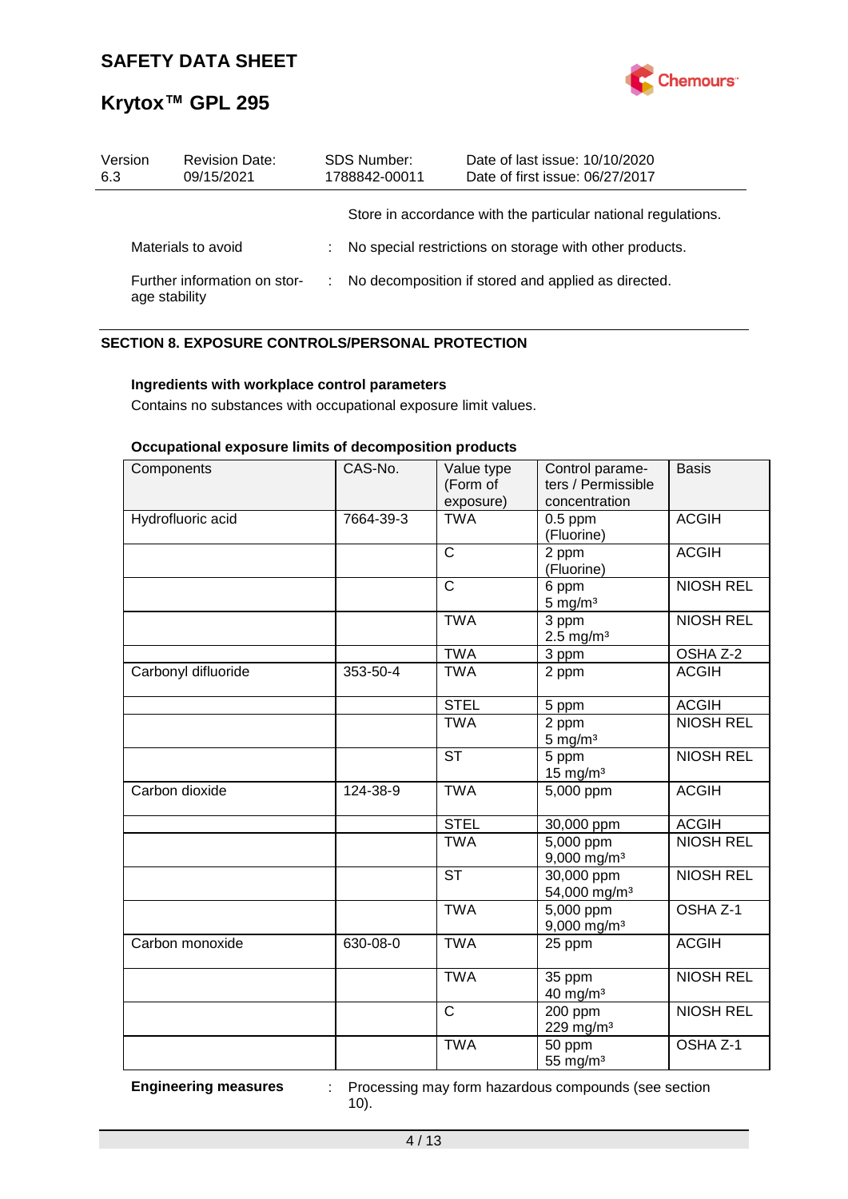

| Version<br>6.3 | <b>Revision Date:</b><br>09/15/2021 | <b>SDS Number:</b><br>1788842-00011 | Date of last issue: 10/10/2020<br>Date of first issue: 06/27/2017 |
|----------------|-------------------------------------|-------------------------------------|-------------------------------------------------------------------|
|                |                                     |                                     | Store in accordance with the particular national regulations.     |
|                | Materials to avoid                  |                                     | No special restrictions on storage with other products.           |
| age stability  | Further information on stor-        |                                     | No decomposition if stored and applied as directed.               |

## **SECTION 8. EXPOSURE CONTROLS/PERSONAL PROTECTION**

## **Ingredients with workplace control parameters**

Contains no substances with occupational exposure limit values.

## **Occupational exposure limits of decomposition products**

| Components          | CAS-No.   | Value type<br>(Form of<br>exposure) | Control parame-<br>ters / Permissible<br>concentration | <b>Basis</b>        |
|---------------------|-----------|-------------------------------------|--------------------------------------------------------|---------------------|
| Hydrofluoric acid   | 7664-39-3 | <b>TWA</b>                          | $0.5$ ppm<br>(Fluorine)                                | <b>ACGIH</b>        |
|                     |           | $\mathsf{C}$                        | 2 ppm<br>(Fluorine)                                    | <b>ACGIH</b>        |
|                     |           | C                                   | 6 ppm<br>$5 \text{ mg/m}^3$                            | <b>NIOSH REL</b>    |
|                     |           | <b>TWA</b>                          | $\overline{3}$ ppm<br>$2.5$ mg/m <sup>3</sup>          | <b>NIOSH REL</b>    |
|                     |           | <b>TWA</b>                          | 3 ppm                                                  | OSHA Z-2            |
| Carbonyl difluoride | 353-50-4  | <b>TWA</b>                          | 2 ppm                                                  | <b>ACGIH</b>        |
|                     |           | <b>STEL</b>                         | 5 ppm                                                  | <b>ACGIH</b>        |
|                     |           | <b>TWA</b>                          | 2 ppm<br>$5 \text{ mg/m}^3$                            | <b>NIOSH REL</b>    |
|                     |           | <b>ST</b>                           | 5 ppm<br>$15 \text{ mg/m}^3$                           | <b>NIOSH REL</b>    |
| Carbon dioxide      | 124-38-9  | <b>TWA</b>                          | 5,000 ppm                                              | <b>ACGIH</b>        |
|                     |           | <b>STEL</b>                         | 30,000 ppm                                             | <b>ACGIH</b>        |
|                     |           | <b>TWA</b>                          | $5,000$ ppm<br>9,000 mg/m <sup>3</sup>                 | <b>NIOSH REL</b>    |
|                     |           | <b>ST</b>                           | 30,000 ppm<br>54,000 mg/m <sup>3</sup>                 | <b>NIOSH REL</b>    |
|                     |           | <b>TWA</b>                          | 5,000 ppm<br>$9,000$ mg/m <sup>3</sup>                 | OSHA <sub>Z-1</sub> |
| Carbon monoxide     | 630-08-0  | <b>TWA</b>                          | 25 ppm                                                 | <b>ACGIH</b>        |
|                     |           | <b>TWA</b>                          | 35 ppm<br>40 mg/m <sup>3</sup>                         | <b>NIOSH REL</b>    |
|                     |           | $\mathsf{C}$                        | 200 ppm<br>229 mg/m <sup>3</sup>                       | <b>NIOSH REL</b>    |
|                     |           | <b>TWA</b>                          | 50 ppm<br>55 mg/m <sup>3</sup>                         | OSHA Z-1            |

**Engineering measures** : Processing may form hazardous compounds (see section 10).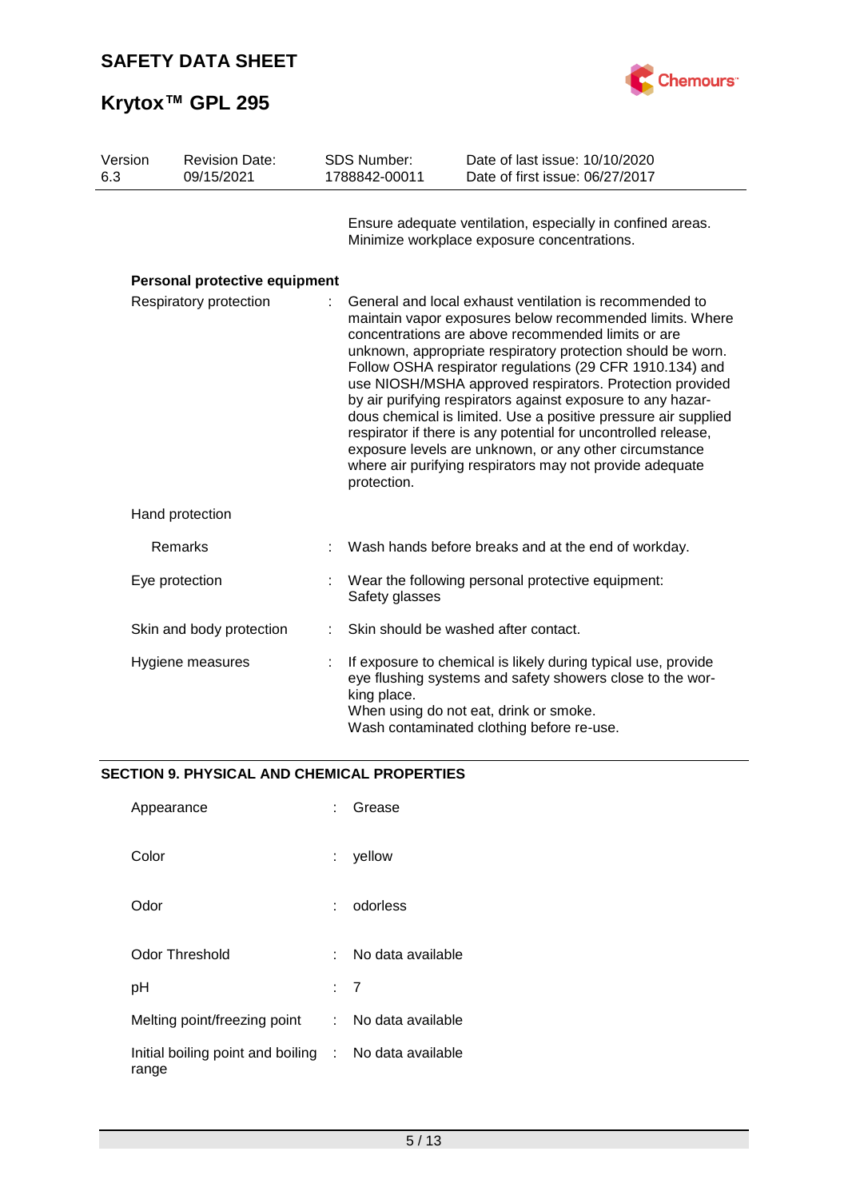



| Version<br>6.3 | <b>Revision Date:</b><br>09/15/2021 | <b>SDS Number:</b><br>1788842-00011 | Date of last issue: 10/10/2020<br>Date of first issue: 06/27/2017                                                                                                                                                                                                                                                                                                                                                                                                                                                                                                                                                                                                                         |
|----------------|-------------------------------------|-------------------------------------|-------------------------------------------------------------------------------------------------------------------------------------------------------------------------------------------------------------------------------------------------------------------------------------------------------------------------------------------------------------------------------------------------------------------------------------------------------------------------------------------------------------------------------------------------------------------------------------------------------------------------------------------------------------------------------------------|
|                |                                     |                                     | Ensure adequate ventilation, especially in confined areas.<br>Minimize workplace exposure concentrations.                                                                                                                                                                                                                                                                                                                                                                                                                                                                                                                                                                                 |
|                | Personal protective equipment       |                                     |                                                                                                                                                                                                                                                                                                                                                                                                                                                                                                                                                                                                                                                                                           |
|                | Respiratory protection              | protection.                         | General and local exhaust ventilation is recommended to<br>maintain vapor exposures below recommended limits. Where<br>concentrations are above recommended limits or are<br>unknown, appropriate respiratory protection should be worn.<br>Follow OSHA respirator regulations (29 CFR 1910.134) and<br>use NIOSH/MSHA approved respirators. Protection provided<br>by air purifying respirators against exposure to any hazar-<br>dous chemical is limited. Use a positive pressure air supplied<br>respirator if there is any potential for uncontrolled release,<br>exposure levels are unknown, or any other circumstance<br>where air purifying respirators may not provide adequate |
|                | Hand protection                     |                                     |                                                                                                                                                                                                                                                                                                                                                                                                                                                                                                                                                                                                                                                                                           |
|                | Remarks                             |                                     | Wash hands before breaks and at the end of workday.                                                                                                                                                                                                                                                                                                                                                                                                                                                                                                                                                                                                                                       |
|                | Eye protection                      | Safety glasses                      | Wear the following personal protective equipment:                                                                                                                                                                                                                                                                                                                                                                                                                                                                                                                                                                                                                                         |
|                | Skin and body protection            |                                     | Skin should be washed after contact.                                                                                                                                                                                                                                                                                                                                                                                                                                                                                                                                                                                                                                                      |
|                | Hygiene measures                    | king place.                         | If exposure to chemical is likely during typical use, provide<br>eye flushing systems and safety showers close to the wor-<br>When using do not eat, drink or smoke.<br>Wash contaminated clothing before re-use.                                                                                                                                                                                                                                                                                                                                                                                                                                                                         |

## **SECTION 9. PHYSICAL AND CHEMICAL PROPERTIES**

| Appearance                                                     |     | Grease            |
|----------------------------------------------------------------|-----|-------------------|
| Color                                                          |     | yellow            |
| Odor                                                           |     | odorless          |
| Odor Threshold                                                 | × 1 | No data available |
| рH                                                             |     | : 7               |
| Melting point/freezing point                                   | t.  | No data available |
| Initial boiling point and boiling : No data available<br>range |     |                   |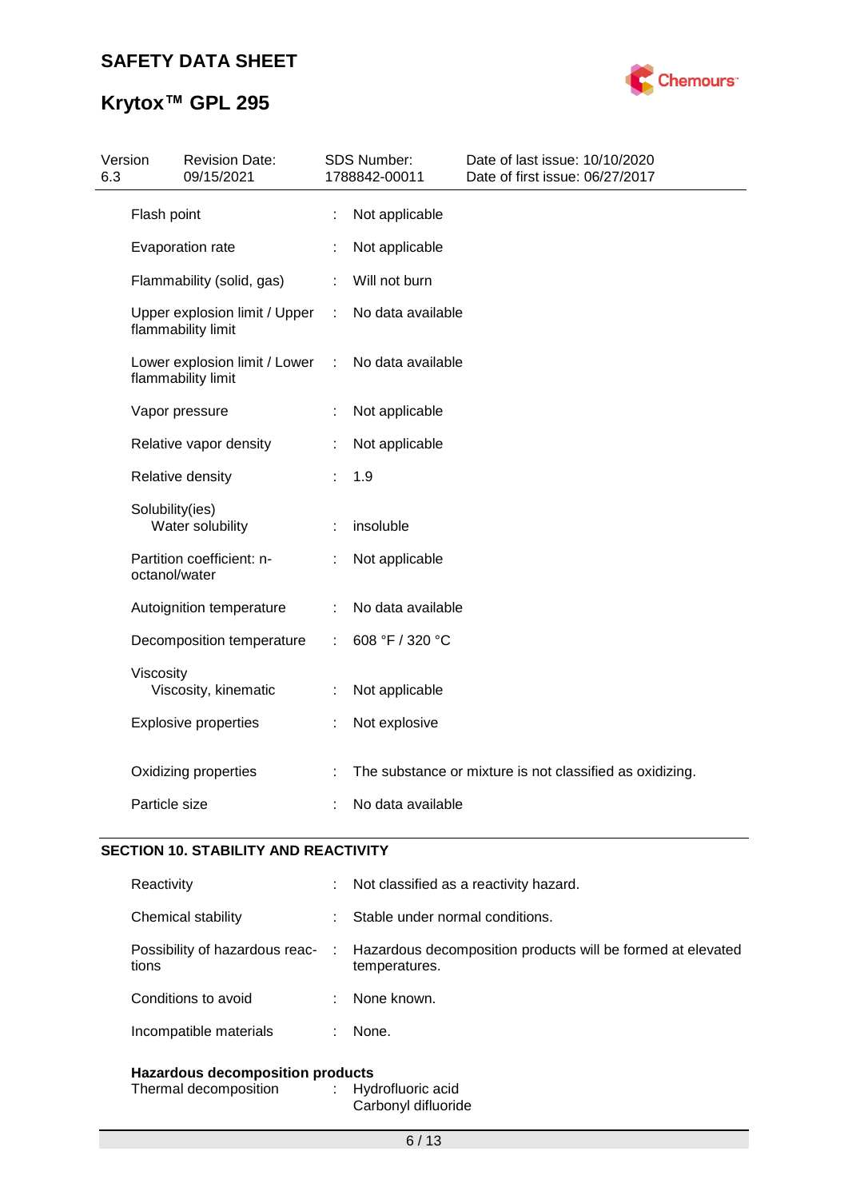

| 6.3 | Version         | <b>Revision Date:</b><br>09/15/2021                 |   | <b>SDS Number:</b><br>1788842-00011 | Date of last issue: 10/10/2020<br>Date of first issue: 06/27/2017 |
|-----|-----------------|-----------------------------------------------------|---|-------------------------------------|-------------------------------------------------------------------|
|     | Flash point     |                                                     | ÷ | Not applicable                      |                                                                   |
|     |                 | Evaporation rate                                    |   | Not applicable                      |                                                                   |
|     |                 | Flammability (solid, gas)                           |   | Will not burn                       |                                                                   |
|     |                 | Upper explosion limit / Upper<br>flammability limit |   | No data available                   |                                                                   |
|     |                 | Lower explosion limit / Lower<br>flammability limit | ÷ | No data available                   |                                                                   |
|     |                 | Vapor pressure                                      |   | Not applicable                      |                                                                   |
|     |                 | Relative vapor density                              |   | Not applicable                      |                                                                   |
|     |                 | Relative density                                    |   | 1.9                                 |                                                                   |
|     | Solubility(ies) | Water solubility                                    |   | insoluble                           |                                                                   |
|     | octanol/water   | Partition coefficient: n-                           |   | Not applicable                      |                                                                   |
|     |                 | Autoignition temperature                            |   | No data available                   |                                                                   |
|     |                 | Decomposition temperature                           | ÷ | 608 °F / 320 °C                     |                                                                   |
|     | Viscosity       | Viscosity, kinematic                                |   | Not applicable                      |                                                                   |
|     |                 | <b>Explosive properties</b>                         |   | Not explosive                       |                                                                   |
|     |                 | Oxidizing properties                                |   |                                     | The substance or mixture is not classified as oxidizing.          |
|     | Particle size   |                                                     |   | No data available                   |                                                                   |

## **SECTION 10. STABILITY AND REACTIVITY**

| <b>Hazardous decomposition products</b>   |  |                                                                              |  |
|-------------------------------------------|--|------------------------------------------------------------------------------|--|
| Incompatible materials                    |  | None.                                                                        |  |
| Conditions to avoid                       |  | None known.                                                                  |  |
| Possibility of hazardous reac- :<br>tions |  | Hazardous decomposition products will be formed at elevated<br>temperatures. |  |
| Chemical stability                        |  | Stable under normal conditions.                                              |  |
| Reactivity                                |  | : Not classified as a reactivity hazard.                                     |  |

Thermal decomposition : Hydrofluoric acid Carbonyl difluoride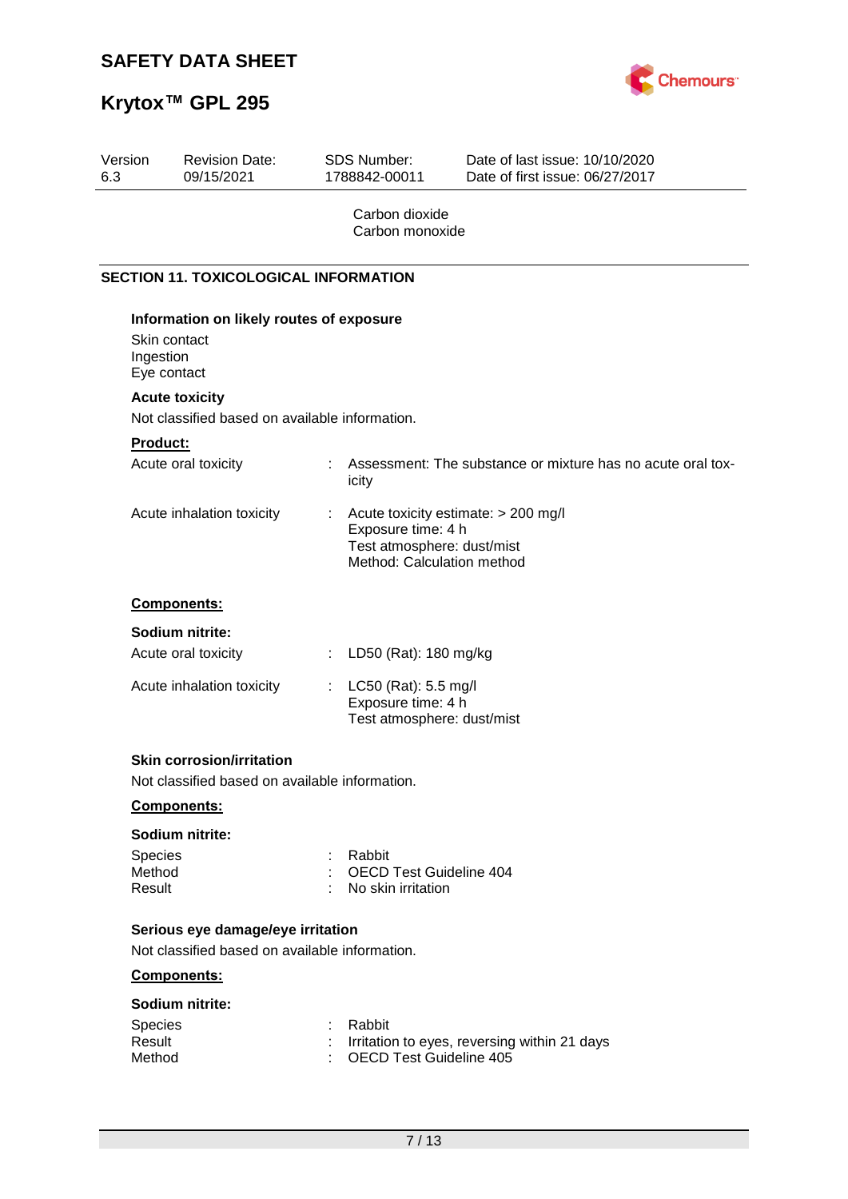

# **Krytox™ GPL 295**

| Version<br>6.3              | <b>Revision Date:</b><br>09/15/2021                                                 |    | SDS Number:<br>1788842-00011                                                   | Date of last issue: 10/10/2020<br>Date of first issue: 06/27/2017 |
|-----------------------------|-------------------------------------------------------------------------------------|----|--------------------------------------------------------------------------------|-------------------------------------------------------------------|
|                             |                                                                                     |    | Carbon dioxide<br>Carbon monoxide                                              |                                                                   |
|                             | <b>SECTION 11. TOXICOLOGICAL INFORMATION</b>                                        |    |                                                                                |                                                                   |
| Ingestion                   | Information on likely routes of exposure<br>Skin contact<br>Eye contact             |    |                                                                                |                                                                   |
|                             | <b>Acute toxicity</b>                                                               |    |                                                                                |                                                                   |
|                             | Not classified based on available information.                                      |    |                                                                                |                                                                   |
| <b>Product:</b>             | Acute oral toxicity                                                                 | t. | icity                                                                          | Assessment: The substance or mixture has no acute oral tox-       |
|                             | Acute inhalation toxicity                                                           |    | Exposure time: 4 h<br>Test atmosphere: dust/mist<br>Method: Calculation method | Acute toxicity estimate: > 200 mg/l                               |
|                             | Components:                                                                         |    |                                                                                |                                                                   |
|                             | Sodium nitrite:                                                                     |    |                                                                                |                                                                   |
|                             | Acute oral toxicity                                                                 | ÷. | LD50 (Rat): 180 mg/kg                                                          |                                                                   |
|                             | Acute inhalation toxicity                                                           | t. | LC50 (Rat): 5.5 mg/l<br>Exposure time: 4 h<br>Test atmosphere: dust/mist       |                                                                   |
|                             | <b>Skin corrosion/irritation</b>                                                    |    |                                                                                |                                                                   |
|                             | Not classified based on available information.                                      |    |                                                                                |                                                                   |
|                             | Components:                                                                         |    |                                                                                |                                                                   |
|                             | Sodium nitrite:                                                                     |    |                                                                                |                                                                   |
| Species<br>Method<br>Result |                                                                                     | ÷  | Rabbit<br><b>OECD Test Guideline 404</b><br>No skin irritation                 |                                                                   |
|                             | Serious eye damage/eye irritation<br>Not classified based on available information. |    |                                                                                |                                                                   |
|                             | Components:                                                                         |    |                                                                                |                                                                   |
|                             | Sodium nitrite:                                                                     |    |                                                                                |                                                                   |
| Species<br>Result<br>Method |                                                                                     |    | Rabbit<br><b>OECD Test Guideline 405</b>                                       | Irritation to eyes, reversing within 21 days                      |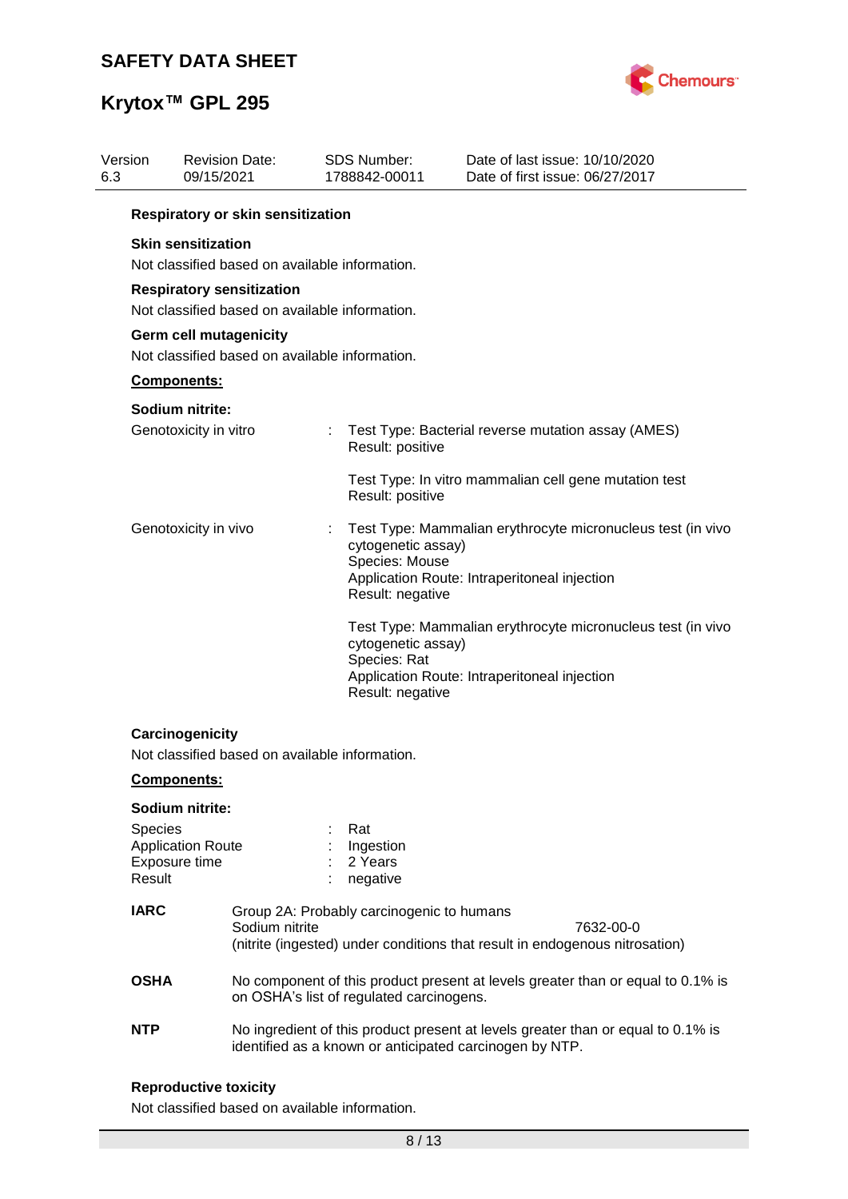

| Version<br>6.3 |                                                                          | <b>Revision Date:</b><br>09/15/2021                                                |                                                                                                                             | <b>SDS Number:</b><br>1788842-00011                      | Date of last issue: 10/10/2020<br>Date of first issue: 06/27/2017                                                                           |  |  |  |  |  |
|----------------|--------------------------------------------------------------------------|------------------------------------------------------------------------------------|-----------------------------------------------------------------------------------------------------------------------------|----------------------------------------------------------|---------------------------------------------------------------------------------------------------------------------------------------------|--|--|--|--|--|
|                | Respiratory or skin sensitization                                        |                                                                                    |                                                                                                                             |                                                          |                                                                                                                                             |  |  |  |  |  |
|                |                                                                          | <b>Skin sensitization</b><br>Not classified based on available information.        |                                                                                                                             |                                                          |                                                                                                                                             |  |  |  |  |  |
|                |                                                                          | <b>Respiratory sensitization</b><br>Not classified based on available information. |                                                                                                                             |                                                          |                                                                                                                                             |  |  |  |  |  |
|                | Germ cell mutagenicity<br>Not classified based on available information. |                                                                                    |                                                                                                                             |                                                          |                                                                                                                                             |  |  |  |  |  |
|                |                                                                          | Components:                                                                        |                                                                                                                             |                                                          |                                                                                                                                             |  |  |  |  |  |
|                |                                                                          | Sodium nitrite:                                                                    |                                                                                                                             |                                                          |                                                                                                                                             |  |  |  |  |  |
|                |                                                                          | Genotoxicity in vitro                                                              |                                                                                                                             | Result: positive                                         | Test Type: Bacterial reverse mutation assay (AMES)                                                                                          |  |  |  |  |  |
|                |                                                                          |                                                                                    |                                                                                                                             | Result: positive                                         | Test Type: In vitro mammalian cell gene mutation test                                                                                       |  |  |  |  |  |
|                |                                                                          | Genotoxicity in vivo                                                               |                                                                                                                             | cytogenetic assay)<br>Species: Mouse<br>Result: negative | Test Type: Mammalian erythrocyte micronucleus test (in vivo<br>Application Route: Intraperitoneal injection                                 |  |  |  |  |  |
|                |                                                                          |                                                                                    |                                                                                                                             | cytogenetic assay)<br>Species: Rat<br>Result: negative   | Test Type: Mammalian erythrocyte micronucleus test (in vivo<br>Application Route: Intraperitoneal injection                                 |  |  |  |  |  |
|                |                                                                          | Carcinogenicity<br>Not classified based on available information.                  |                                                                                                                             |                                                          |                                                                                                                                             |  |  |  |  |  |
|                |                                                                          | <b>Components:</b>                                                                 |                                                                                                                             |                                                          |                                                                                                                                             |  |  |  |  |  |
|                |                                                                          | Sodium nitrite:                                                                    |                                                                                                                             |                                                          |                                                                                                                                             |  |  |  |  |  |
|                | Species<br>Result                                                        | <b>Application Route</b><br>Exposure time                                          |                                                                                                                             | Rat<br>Ingestion<br>2 Years<br>negative                  |                                                                                                                                             |  |  |  |  |  |
|                | <b>IARC</b>                                                              |                                                                                    | Sodium nitrite                                                                                                              | Group 2A: Probably carcinogenic to humans                | 7632-00-0<br>(nitrite (ingested) under conditions that result in endogenous nitrosation)                                                    |  |  |  |  |  |
|                | <b>OSHA</b>                                                              |                                                                                    | No component of this product present at levels greater than or equal to 0.1% is<br>on OSHA's list of regulated carcinogens. |                                                          |                                                                                                                                             |  |  |  |  |  |
|                | <b>NTP</b>                                                               |                                                                                    |                                                                                                                             |                                                          | No ingredient of this product present at levels greater than or equal to 0.1% is<br>identified as a known or anticipated carcinogen by NTP. |  |  |  |  |  |
|                |                                                                          |                                                                                    |                                                                                                                             |                                                          |                                                                                                                                             |  |  |  |  |  |

## **Reproductive toxicity**

Not classified based on available information.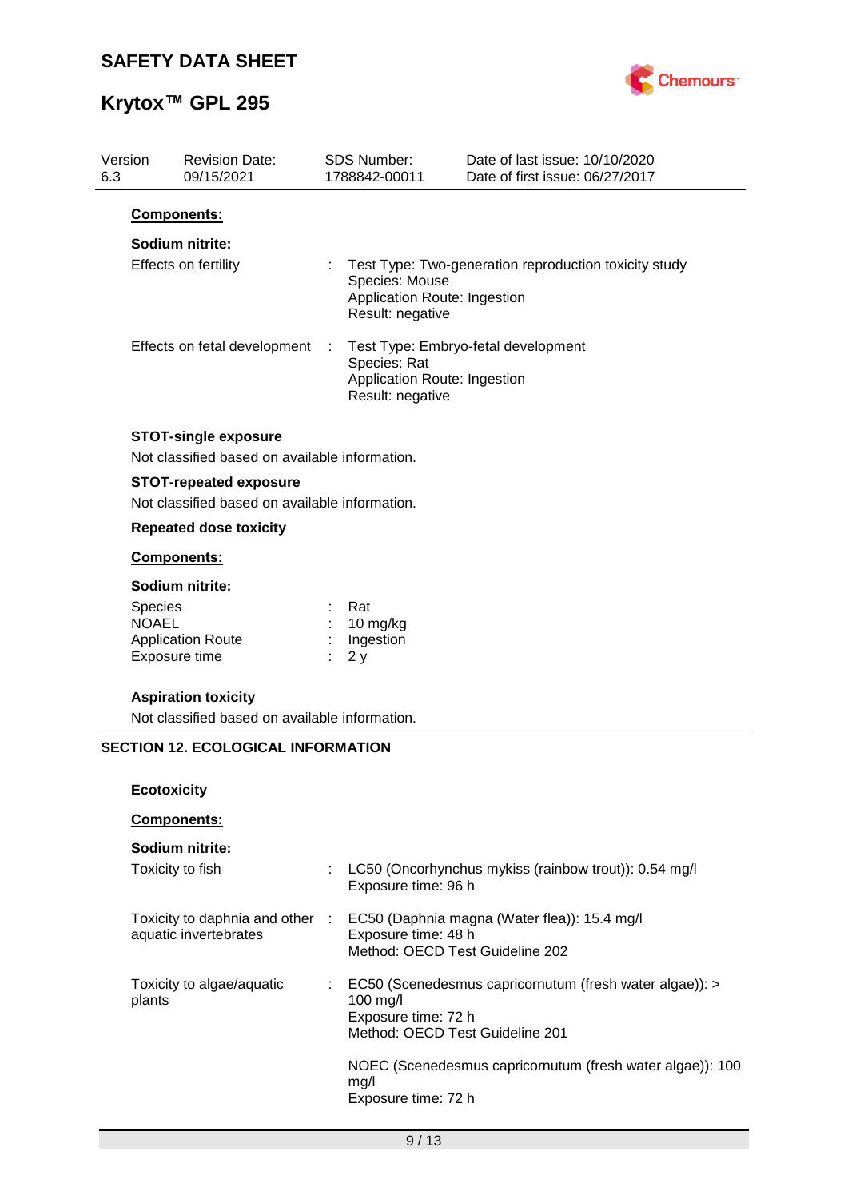

| Version<br>6.3 |                    | <b>Revision Date:</b><br>09/15/2021            |   | SDS Number:<br>1788842-00011                                       | Date of last issue: 10/10/2020<br>Date of first issue: 06/27/2017 |
|----------------|--------------------|------------------------------------------------|---|--------------------------------------------------------------------|-------------------------------------------------------------------|
|                | Components:        |                                                |   |                                                                    |                                                                   |
|                |                    | Sodium nitrite:                                |   |                                                                    |                                                                   |
|                |                    | Effects on fertility                           |   | Species: Mouse<br>Application Route: Ingestion<br>Result: negative | Test Type: Two-generation reproduction toxicity study             |
|                |                    | Effects on fetal development                   | ÷ | Species: Rat<br>Application Route: Ingestion<br>Result: negative   | Test Type: Embryo-fetal development                               |
|                |                    | <b>STOT-single exposure</b>                    |   |                                                                    |                                                                   |
|                |                    | Not classified based on available information. |   |                                                                    |                                                                   |
|                |                    | <b>STOT-repeated exposure</b>                  |   |                                                                    |                                                                   |
|                |                    | Not classified based on available information. |   |                                                                    |                                                                   |
|                |                    | <b>Repeated dose toxicity</b>                  |   |                                                                    |                                                                   |
|                | Components:        |                                                |   |                                                                    |                                                                   |
|                |                    | Sodium nitrite:                                |   |                                                                    |                                                                   |
|                | <b>Species</b>     |                                                |   | Rat                                                                |                                                                   |
|                | <b>NOAEL</b>       | <b>Application Route</b>                       |   | 10 mg/kg<br>Ingestion                                              |                                                                   |
|                |                    | Exposure time                                  |   | 2y                                                                 |                                                                   |
|                |                    | <b>Aspiration toxicity</b>                     |   |                                                                    |                                                                   |
|                |                    | Not classified based on available information. |   |                                                                    |                                                                   |
|                |                    | <b>SECTION 12. ECOLOGICAL INFORMATION</b>      |   |                                                                    |                                                                   |
|                |                    |                                                |   |                                                                    |                                                                   |
|                | <b>Ecotoxicity</b> |                                                |   |                                                                    |                                                                   |
|                |                    | Components:                                    |   |                                                                    |                                                                   |
|                |                    | Sodium nitrite:                                |   |                                                                    |                                                                   |
|                | Toxicity to fish   |                                                | ÷ | Exposure time: 96 h                                                | LC50 (Oncorhynchus mykiss (rainbow trout)): 0.54 mg/l             |
|                |                    | Toxicity to daphnia and other :                |   |                                                                    | EC50 (Daphnia magna (Water flea)): 15.4 mg/l                      |
|                |                    | aquatic invertebrates                          |   | Exposure time: 48 h                                                |                                                                   |
|                |                    |                                                |   | Method: OECD Test Guideline 202                                    |                                                                   |
|                |                    | Toxicity to algae/aquatic                      |   |                                                                    | EC50 (Scenedesmus capricornutum (fresh water algae)): >           |
|                | plants             |                                                |   | 100 mg/l                                                           |                                                                   |
|                |                    |                                                |   | Exposure time: 72 h<br>Method: OECD Test Guideline 201             |                                                                   |
|                |                    |                                                |   |                                                                    |                                                                   |
|                |                    |                                                |   |                                                                    | NOEC (Scenedesmus capricornutum (fresh water algae)): 100         |
|                |                    |                                                |   | mg/l<br>Exposure time: 72 h                                        |                                                                   |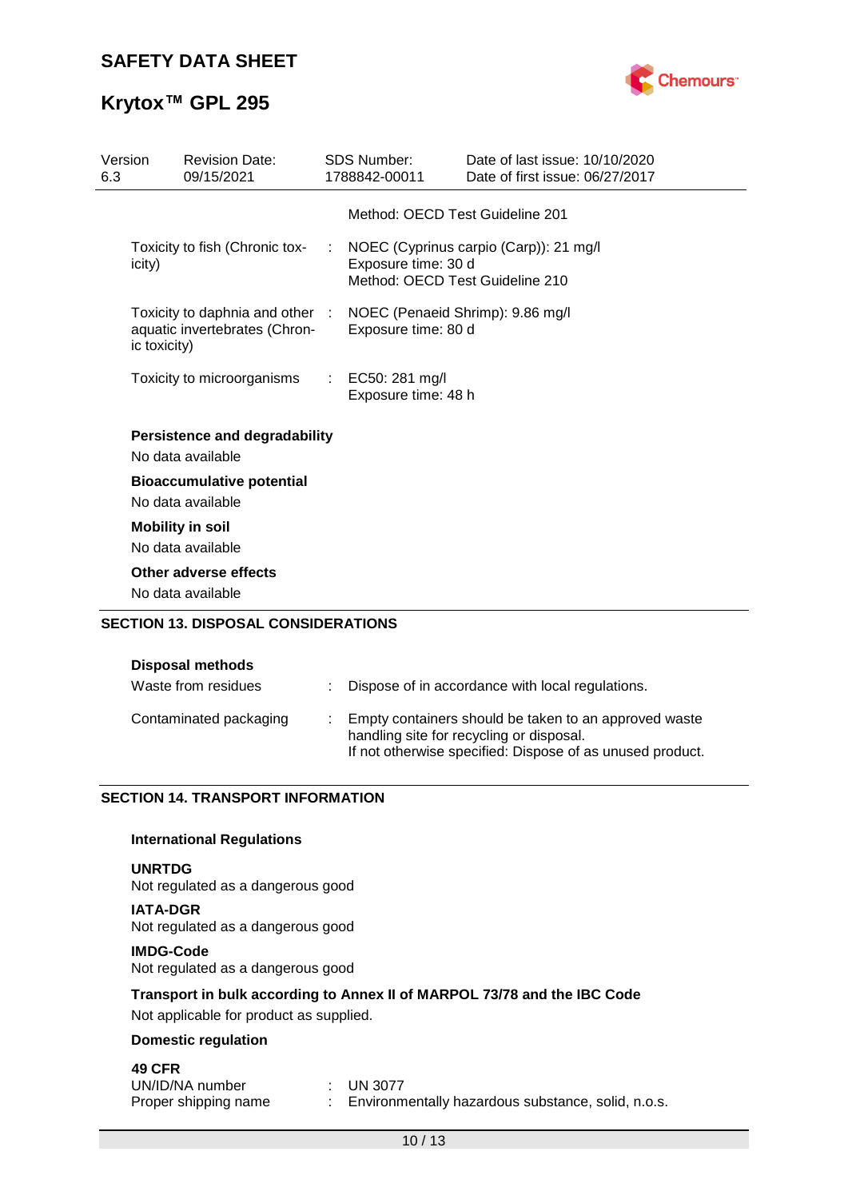

# **Krytox™ GPL 295**

| Version<br>6.3 | <b>Revision Date:</b><br>09/15/2021                                                                               |             | <b>SDS Number:</b><br>1788842-00011     | Date of last issue: 10/10/2020<br>Date of first issue: 06/27/2017         |
|----------------|-------------------------------------------------------------------------------------------------------------------|-------------|-----------------------------------------|---------------------------------------------------------------------------|
|                |                                                                                                                   |             |                                         | Method: OECD Test Guideline 201                                           |
|                | Toxicity to fish (Chronic tox-<br>icity)                                                                          | <b>STAR</b> | Exposure time: 30 d                     | NOEC (Cyprinus carpio (Carp)): 21 mg/l<br>Method: OECD Test Guideline 210 |
|                | Toxicity to daphnia and other : NOEC (Penaeid Shrimp): 9.86 mg/l<br>aquatic invertebrates (Chron-<br>ic toxicity) |             | Exposure time: 80 d                     |                                                                           |
|                | Toxicity to microorganisms                                                                                        |             | : EC50: 281 mg/l<br>Exposure time: 48 h |                                                                           |
|                | <b>Persistence and degradability</b><br>No data available                                                         |             |                                         |                                                                           |
|                | <b>Bioaccumulative potential</b><br>No data available                                                             |             |                                         |                                                                           |
|                | <b>Mobility in soil</b><br>No data available                                                                      |             |                                         |                                                                           |
|                | Other adverse effects<br>No data available                                                                        |             |                                         |                                                                           |
|                | <b>SECTION 13. DISPOSAL CONSIDERATIONS</b>                                                                        |             |                                         |                                                                           |

### **Disposal methods**

| Waste from residues    | : Dispose of in accordance with local regulations.                                                                                                               |
|------------------------|------------------------------------------------------------------------------------------------------------------------------------------------------------------|
| Contaminated packaging | : Empty containers should be taken to an approved waste<br>handling site for recycling or disposal.<br>If not otherwise specified: Dispose of as unused product. |

## **SECTION 14. TRANSPORT INFORMATION**

### **International Regulations**

#### **UNRTDG**

Not regulated as a dangerous good

**IATA-DGR** Not regulated as a dangerous good

#### **IMDG-Code**

Not regulated as a dangerous good

## **Transport in bulk according to Annex II of MARPOL 73/78 and the IBC Code**

Not applicable for product as supplied.

## **Domestic regulation**

## **49 CFR**

| UN/ID/NA number      | $\pm$ UN 3077                                      |
|----------------------|----------------------------------------------------|
| Proper shipping name | Environmentally hazardous substance, solid, n.o.s. |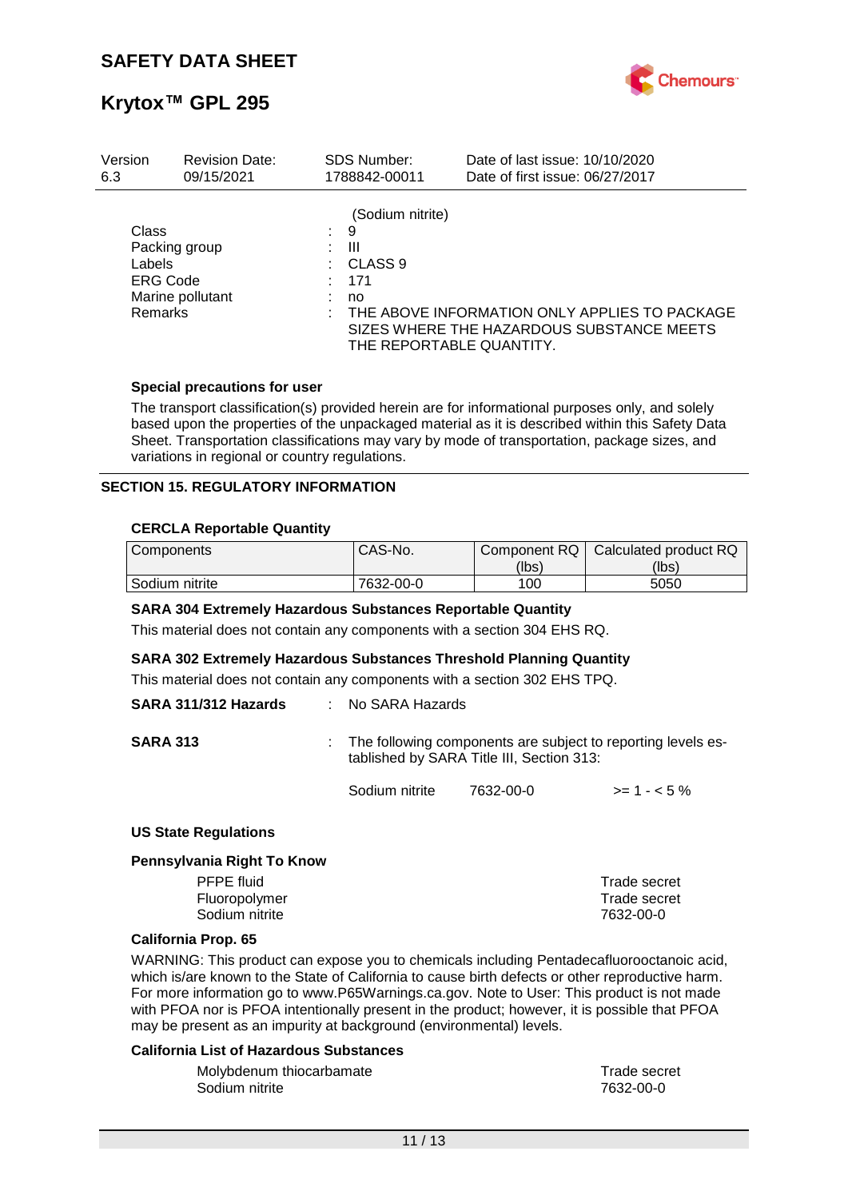

| Version                                              | <b>Revision Date:</b>             |    | <b>SDS Number:</b>                                 | Date of last issue: 10/10/2020                                                                                         |
|------------------------------------------------------|-----------------------------------|----|----------------------------------------------------|------------------------------------------------------------------------------------------------------------------------|
| 6.3                                                  | 09/15/2021                        |    | 1788842-00011                                      | Date of first issue: 06/27/2017                                                                                        |
| Class<br>Labels<br><b>ERG Code</b><br><b>Remarks</b> | Packing group<br>Marine pollutant | t. | (Sodium nitrite)<br>9<br>Ш<br>CLASS 9<br>171<br>no | THE ABOVE INFORMATION ONLY APPLIES TO PACKAGE<br>SIZES WHERE THE HAZARDOUS SUBSTANCE MEETS<br>THE REPORTABLE QUANTITY. |

### **Special precautions for user**

The transport classification(s) provided herein are for informational purposes only, and solely based upon the properties of the unpackaged material as it is described within this Safety Data Sheet. Transportation classifications may vary by mode of transportation, package sizes, and variations in regional or country regulations.

### **SECTION 15. REGULATORY INFORMATION**

### **CERCLA Reportable Quantity**

| Components     | CAS-No.   | Component RQ | Calculated product RQ |
|----------------|-----------|--------------|-----------------------|
|                |           | (lbs)        | (lbs)                 |
| Sodium nitrite | 7632-00-0 | 100          | 5050                  |

#### **SARA 304 Extremely Hazardous Substances Reportable Quantity**

This material does not contain any components with a section 304 EHS RQ.

#### **SARA 302 Extremely Hazardous Substances Threshold Planning Quantity**

This material does not contain any components with a section 302 EHS TPQ.

| SARA 311/312 Hazards | : No SARA Hazards |                                           |                                                                |
|----------------------|-------------------|-------------------------------------------|----------------------------------------------------------------|
| <b>SARA 313</b>      |                   | tablished by SARA Title III, Section 313: | : The following components are subject to reporting levels es- |
|                      | Sodium nitrite    | 7632-00-0                                 | $>= 1 - 5\%$                                                   |

#### **US State Regulations**

#### **Pennsylvania Right To Know**

| PFPE fluid     | Trade secret |
|----------------|--------------|
| Fluoropolymer  | Trade secret |
| Sodium nitrite | 7632-00-0    |
|                |              |

#### **California Prop. 65**

WARNING: This product can expose you to chemicals including Pentadecafluorooctanoic acid, which is/are known to the State of California to cause birth defects or other reproductive harm. For more information go to www.P65Warnings.ca.gov. Note to User: This product is not made with PFOA nor is PFOA intentionally present in the product; however, it is possible that PFOA may be present as an impurity at background (environmental) levels.

#### **California List of Hazardous Substances**

| Molybdenum thiocarbamate | Trade secret |
|--------------------------|--------------|
| Sodium nitrite           | 7632-00-0    |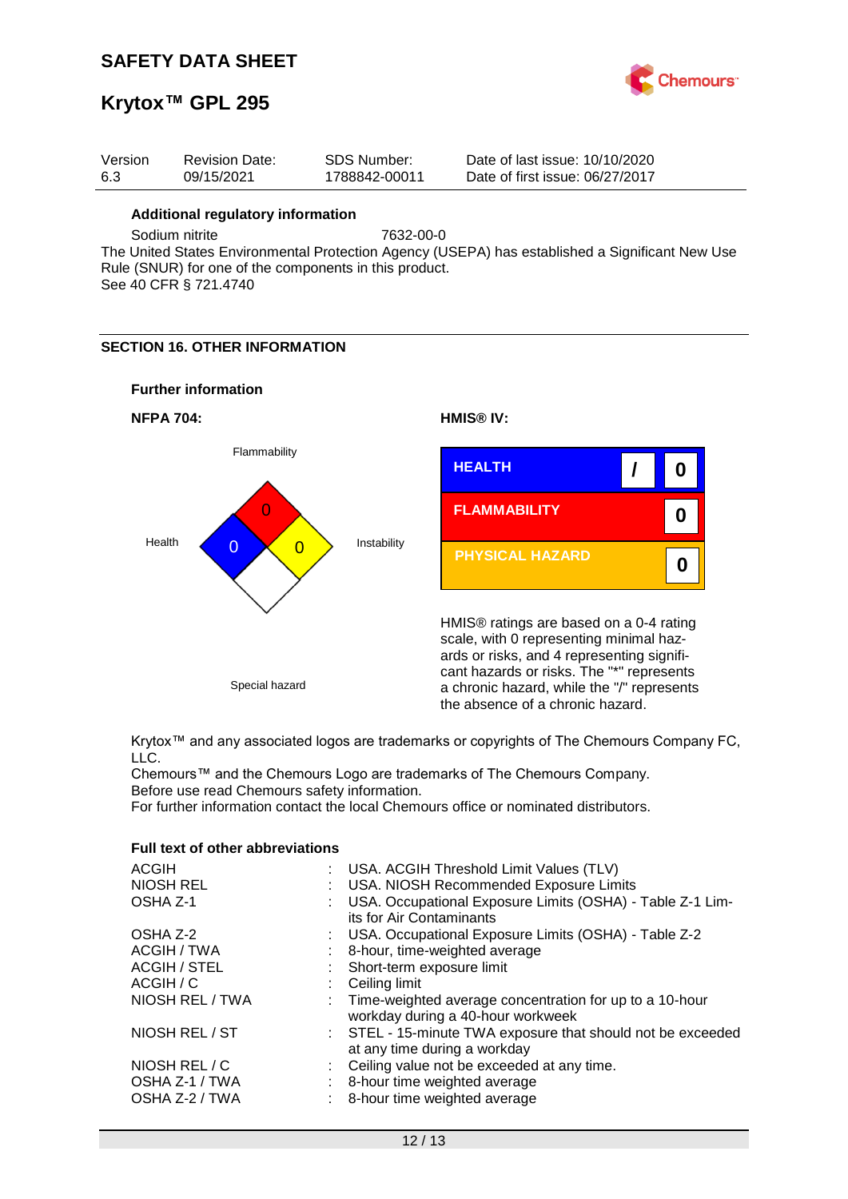

## **Krytox™ GPL 295**

| Version | <b>Revision Date:</b> | SDS Number:   | Date of last issue: 10/10/2020  |
|---------|-----------------------|---------------|---------------------------------|
| -6.3    | 09/15/2021            | 1788842-00011 | Date of first issue: 06/27/2017 |

#### **Additional regulatory information**

Sodium nitrite 7632-00-0

The United States Environmental Protection Agency (USEPA) has established a Significant New Use Rule (SNUR) for one of the components in this product. See 40 CFR § 721.4740

## **SECTION 16. OTHER INFORMATION**

### **Further information**





Krytox™ and any associated logos are trademarks or copyrights of The Chemours Company FC, LLC.

Chemours™ and the Chemours Logo are trademarks of The Chemours Company. Before use read Chemours safety information.

For further information contact the local Chemours office or nominated distributors.

## **Full text of other abbreviations**

| <b>ACGIH</b>        | : USA. ACGIH Threshold Limit Values (TLV)                                                      |
|---------------------|------------------------------------------------------------------------------------------------|
| NIOSH REL           | USA. NIOSH Recommended Exposure Limits                                                         |
| OSHA Z-1            | USA. Occupational Exposure Limits (OSHA) - Table Z-1 Lim-                                      |
|                     | its for Air Contaminants                                                                       |
| OSHA Z-2            | : USA. Occupational Exposure Limits (OSHA) - Table Z-2                                         |
| ACGIH / TWA         | 8-hour, time-weighted average                                                                  |
| <b>ACGIH / STEL</b> | : Short-term exposure limit                                                                    |
| ACGIH / C           | Ceiling limit                                                                                  |
| NIOSH REL / TWA     | : Time-weighted average concentration for up to a 10-hour<br>workday during a 40-hour workweek |
| NIOSH REL / ST      | : STEL - 15-minute TWA exposure that should not be exceeded<br>at any time during a workday    |
| NIOSH REL / C       | Ceiling value not be exceeded at any time.                                                     |
| OSHA Z-1 / TWA      | 8-hour time weighted average                                                                   |
| OSHA Z-2 / TWA      | 8-hour time weighted average                                                                   |